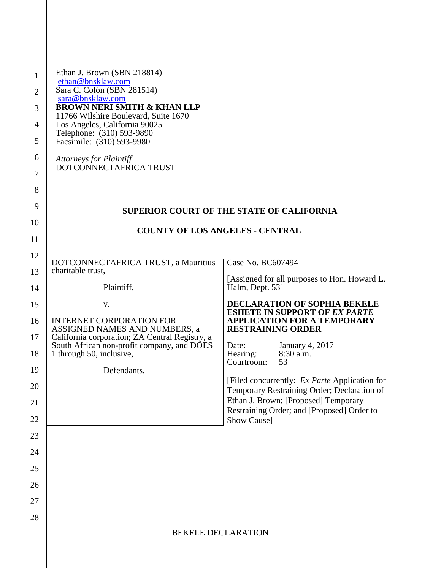| Ethan J. Brown (SBN 218814)<br>ethan@bnsklaw.com<br>Sara C. Colón (SBN 281514)<br>sara@bnsklaw.com<br><b>BROWN NERI SMITH &amp; KHAN LLP</b><br>11766 Wilshire Boulevard, Suite 1670<br>Los Angeles, California 90025<br>Telephone: (310) 593-9890 |                                                                                                        |
|----------------------------------------------------------------------------------------------------------------------------------------------------------------------------------------------------------------------------------------------------|--------------------------------------------------------------------------------------------------------|
| Facsimile: (310) 593-9980<br><b>Attorneys for Plaintiff</b><br>DOTCONNECTAFRICA TRUST                                                                                                                                                              |                                                                                                        |
|                                                                                                                                                                                                                                                    |                                                                                                        |
|                                                                                                                                                                                                                                                    | <b>SUPERIOR COURT OF THE STATE OF CALIFORNIA</b>                                                       |
|                                                                                                                                                                                                                                                    | <b>COUNTY OF LOS ANGELES - CENTRAL</b>                                                                 |
|                                                                                                                                                                                                                                                    |                                                                                                        |
| DOTCONNECTAFRICA TRUST, a Mauritius                                                                                                                                                                                                                | Case No. BC607494                                                                                      |
| charitable trust,<br>Plaintiff,                                                                                                                                                                                                                    | [Assigned for all purposes to Hon. Howard L.<br>Halm, Dept. 53]                                        |
| V.                                                                                                                                                                                                                                                 | <b>DECLARATION OF SOPHIA BEKELE</b>                                                                    |
| <b>INTERNET CORPORATION FOR</b><br>ASSIGNED NAMES AND NUMBERS, a<br>California corporation; ZA Central Registry, a                                                                                                                                 | <b>ESHETE IN SUPPORT OF EX PARTE</b><br><b>APPLICATION FOR A TEMPORARY</b><br><b>RESTRAINING ORDER</b> |
| South African non-profit company, and DOES<br>1 through 50, inclusive,                                                                                                                                                                             | January 4, 2017<br>Date:<br>Hearing:<br>8:30 a.m.<br>Courtroom:<br>53                                  |
| Defendants.                                                                                                                                                                                                                                        | [Filed concurrently: <i>Ex Parte</i> Application for                                                   |
|                                                                                                                                                                                                                                                    | Temporary Restraining Order; Declaration of<br>Ethan J. Brown; [Proposed] Temporary                    |
|                                                                                                                                                                                                                                                    | Restraining Order; and [Proposed] Order to<br>Show Cause]                                              |
|                                                                                                                                                                                                                                                    |                                                                                                        |
|                                                                                                                                                                                                                                                    |                                                                                                        |
|                                                                                                                                                                                                                                                    |                                                                                                        |
|                                                                                                                                                                                                                                                    |                                                                                                        |
|                                                                                                                                                                                                                                                    |                                                                                                        |
|                                                                                                                                                                                                                                                    | <b>BEKELE DECLARATION</b>                                                                              |
|                                                                                                                                                                                                                                                    |                                                                                                        |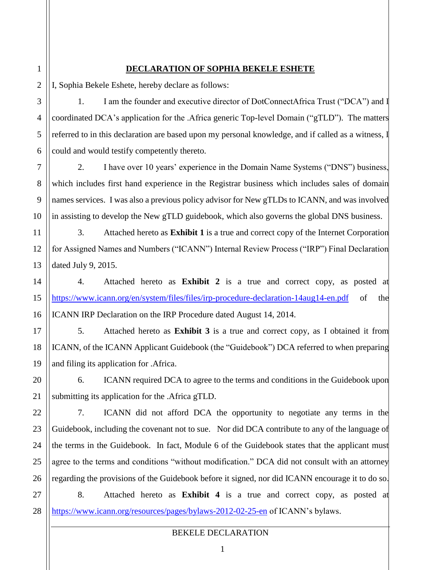## **DECLARATION OF SOPHIA BEKELE ESHETE**

I, Sophia Bekele Eshete, hereby declare as follows:

1. I am the founder and executive director of DotConnectAfrica Trust ("DCA") and I coordinated DCA's application for the .Africa generic Top-level Domain ("gTLD"). The matters referred to in this declaration are based upon my personal knowledge, and if called as a witness, I could and would testify competently thereto.

2. I have over 10 years' experience in the Domain Name Systems ("DNS") business, which includes first hand experience in the Registrar business which includes sales of domain names services. I was also a previous policy advisor for New gTLDs to ICANN, and was involved in assisting to develop the New gTLD guidebook, which also governs the global DNS business.

3. Attached hereto as **Exhibit 1** is a true and correct copy of the Internet Corporation for Assigned Names and Numbers ("ICANN") Internal Review Process ("IRP") Final Declaration dated July 9, 2015.

4. Attached hereto as **Exhibit 2** is a true and correct copy, as posted at <https://www.icann.org/en/system/files/files/irp-procedure-declaration-14aug14-en.pdf> of the ICANN IRP Declaration on the IRP Procedure dated August 14, 2014.

5. Attached hereto as **Exhibit 3** is a true and correct copy, as I obtained it from ICANN, of the ICANN Applicant Guidebook (the "Guidebook") DCA referred to when preparing and filing its application for .Africa.

6. ICANN required DCA to agree to the terms and conditions in the Guidebook upon submitting its application for the .Africa gTLD.

7. ICANN did not afford DCA the opportunity to negotiate any terms in the Guidebook, including the covenant not to sue. Nor did DCA contribute to any of the language of the terms in the Guidebook. In fact, Module 6 of the Guidebook states that the applicant must agree to the terms and conditions "without modification." DCA did not consult with an attorney regarding the provisions of the Guidebook before it signed, nor did ICANN encourage it to do so.

8. Attached hereto as **Exhibit 4** is a true and correct copy, as posted at <https://www.icann.org/resources/pages/bylaws-2012-02-25-en> of ICANN's bylaws.

# BEKELE DECLARATION

1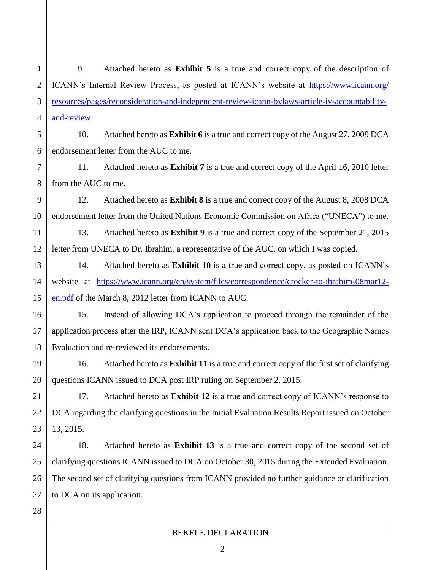1 2 3 4 9. Attached hereto as **Exhibit 5** is a true and correct copy of the description of ICANN's Internal Review Process, as posted at ICANN's website at [https://www.icann.org/](https://www.icann.org/resources/pages/reconsideration-and-independent-review-icann-bylaws-article-iv-accountability-and-review) [resources/pages/reconsideration-and-independent-review-icann-bylaws-article-iv-accountability](https://www.icann.org/resources/pages/reconsideration-and-independent-review-icann-bylaws-article-iv-accountability-and-review)[and-review](https://www.icann.org/resources/pages/reconsideration-and-independent-review-icann-bylaws-article-iv-accountability-and-review) 

5 6 10. Attached hereto as **Exhibit 6** is a true and correct copy of the August 27, 2009 DCA endorsement letter from the AUC to me.

7 8 11. Attached hereto as **Exhibit 7** is a true and correct copy of the April 16, 2010 letter from the AUC to me.

12. Attached hereto as **Exhibit 8** is a true and correct copy of the August 8, 2008 DCA endorsement letter from the United Nations Economic Commission on Africa ("UNECA") to me.

13. Attached hereto as **Exhibit 9** is a true and correct copy of the September 21, 2015 letter from UNECA to Dr. Ibrahim, a representative of the AUC, on which I was copied.

14. Attached hereto as **Exhibit 10** is a true and correct copy, as posted on ICANN's website at [https://www.icann.org/en/system/files/correspondence/crocker-to-ibrahim-08mar12](https://www.icann.org/en/system/files/correspondence/crocker-to-ibrahim-08mar12-en.pdf) [en.pdf](https://www.icann.org/en/system/files/correspondence/crocker-to-ibrahim-08mar12-en.pdf) of the March 8, 2012 letter from ICANN to AUC.

15. Instead of allowing DCA's application to proceed through the remainder of the application process after the IRP, ICANN sent DCA's application back to the Geographic Names Evaluation and re-reviewed its endorsements.

16. Attached hereto as **Exhibit 11** is a true and correct copy of the first set of clarifying questions ICANN issued to DCA post IRP ruling on September 2, 2015.

17. Attached hereto as **Exhibit 12** is a true and correct copy of ICANN's response to DCA regarding the clarifying questions in the Initial Evaluation Results Report issued on October 13, 2015.

18. Attached hereto as **Exhibit 13** is a true and correct copy of the second set of clarifying questions ICANN issued to DCA on October 30, 2015 during the Extended Evaluation. The second set of clarifying questions from ICANN provided no further guidance or clarification to DCA on its application.

28

9

10

11

12

13

14

15

16

17

18

19

20

21

22

23

24

25

26

27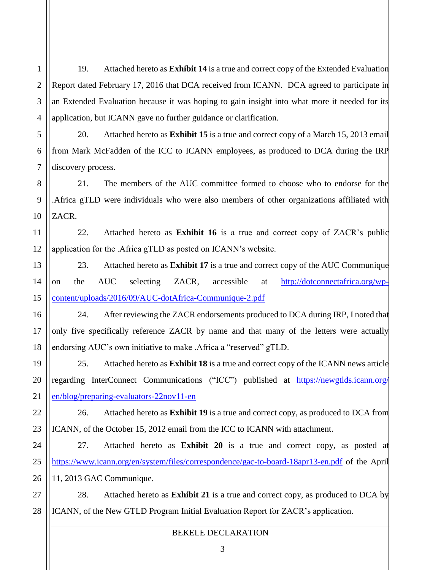1 2 19. Attached hereto as **Exhibit 14** is a true and correct copy of the Extended Evaluation Report dated February 17, 2016 that DCA received from ICANN. DCA agreed to participate in an Extended Evaluation because it was hoping to gain insight into what more it needed for its application, but ICANN gave no further guidance or clarification.

20. Attached hereto as **Exhibit 15** is a true and correct copy of a March 15, 2013 email from Mark McFadden of the ICC to ICANN employees, as produced to DCA during the IRP discovery process.

21. The members of the AUC committee formed to choose who to endorse for the .Africa gTLD were individuals who were also members of other organizations affiliated with ZACR.

22. Attached hereto as **Exhibit 16** is a true and correct copy of ZACR's public application for the .Africa gTLD as posted on ICANN's website.

23. Attached hereto as **Exhibit 17** is a true and correct copy of the AUC Communique on the AUC selecting ZACR, accessible at [http://dotconnectafrica.org/wp](http://dotconnectafrica.org/wp-content/uploads/2016/09/AUC-dotAfrica-Communique-2.pdf)[content/uploads/2016/09/AUC-dotAfrica-Communique-2.pdf](http://dotconnectafrica.org/wp-content/uploads/2016/09/AUC-dotAfrica-Communique-2.pdf)

24. After reviewing the ZACR endorsements produced to DCA during IRP, I noted that only five specifically reference ZACR by name and that many of the letters were actually endorsing AUC's own initiative to make .Africa a "reserved" gTLD.

25. Attached hereto as **Exhibit 18** is a true and correct copy of the ICANN news article regarding InterConnect Communications ("ICC") published at [https://newgtlds.icann.org/](https://newgtlds.icann.org/en/blog/preparing-evaluators-22nov11-en) [en/blog/preparing-evaluators-22nov11-en](https://newgtlds.icann.org/en/blog/preparing-evaluators-22nov11-en)

26. Attached hereto as **Exhibit 19** is a true and correct copy, as produced to DCA from ICANN, of the October 15, 2012 email from the ICC to ICANN with attachment.

27. Attached hereto as **Exhibit 20** is a true and correct copy, as posted at <https://www.icann.org/en/system/files/correspondence/gac-to-board-18apr13-en.pdf> of the April 11, 2013 GAC Communique.

28. Attached hereto as **Exhibit 21** is a true and correct copy, as produced to DCA by ICANN, of the New GTLD Program Initial Evaluation Report for ZACR's application.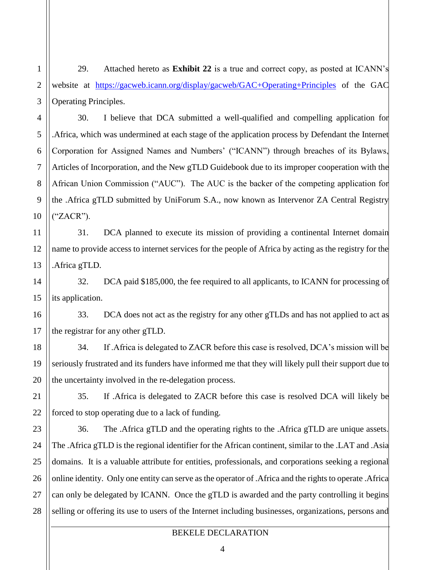1 2 29. Attached hereto as **Exhibit 22** is a true and correct copy, as posted at ICANN's website at <https://gacweb.icann.org/display/gacweb/GAC+Operating+Principles> of the GAC Operating Principles.

30. I believe that DCA submitted a well-qualified and compelling application for .Africa, which was undermined at each stage of the application process by Defendant the Internet Corporation for Assigned Names and Numbers' ("ICANN") through breaches of its Bylaws, Articles of Incorporation, and the New gTLD Guidebook due to its improper cooperation with the African Union Commission ("AUC"). The AUC is the backer of the competing application for the .Africa gTLD submitted by UniForum S.A., now known as Intervenor ZA Central Registry ("ZACR").

31. DCA planned to execute its mission of providing a continental Internet domain name to provide access to internet services for the people of Africa by acting as the registry for the .Africa gTLD.

32. DCA paid \$185,000, the fee required to all applicants, to ICANN for processing of its application.

33. DCA does not act as the registry for any other gTLDs and has not applied to act as the registrar for any other gTLD.

34. If .Africa is delegated to ZACR before this case is resolved, DCA's mission will be seriously frustrated and its funders have informed me that they will likely pull their support due to the uncertainty involved in the re-delegation process.

35. If .Africa is delegated to ZACR before this case is resolved DCA will likely be forced to stop operating due to a lack of funding.

36. The .Africa gTLD and the operating rights to the .Africa gTLD are unique assets. The .Africa gTLD is the regional identifier for the African continent, similar to the .LAT and .Asia domains. It is a valuable attribute for entities, professionals, and corporations seeking a regional online identity. Only one entity can serve as the operator of .Africa and the rights to operate .Africa can only be delegated by ICANN. Once the gTLD is awarded and the party controlling it begins selling or offering its use to users of the Internet including businesses, organizations, persons and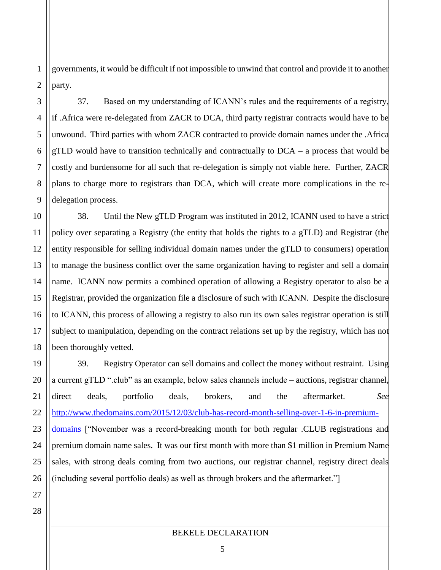1 2 governments, it would be difficult if not impossible to unwind that control and provide it to another party.

37. Based on my understanding of ICANN's rules and the requirements of a registry, if .Africa were re-delegated from ZACR to DCA, third party registrar contracts would have to be unwound. Third parties with whom ZACR contracted to provide domain names under the .Africa gTLD would have to transition technically and contractually to  $DCA - a$  process that would be costly and burdensome for all such that re-delegation is simply not viable here. Further, ZACR plans to charge more to registrars than DCA, which will create more complications in the redelegation process.

38. Until the New gTLD Program was instituted in 2012, ICANN used to have a strict policy over separating a Registry (the entity that holds the rights to a gTLD) and Registrar (the entity responsible for selling individual domain names under the gTLD to consumers) operation to manage the business conflict over the same organization having to register and sell a domain name. ICANN now permits a combined operation of allowing a Registry operator to also be a Registrar, provided the organization file a disclosure of such with ICANN. Despite the disclosure to ICANN, this process of allowing a registry to also run its own sales registrar operation is still subject to manipulation, depending on the contract relations set up by the registry, which has not been thoroughly vetted.

39. Registry Operator can sell domains and collect the money without restraint. Using a current gTLD ".club" as an example, below sales channels include – auctions, registrar channel, direct deals, portfolio deals, brokers, and the aftermarket. *See* [http://www.thedomains.com/2015/12/03/club-has-record-month-selling-over-1-6-in-premium](http://www.thedomains.com/2015/12/03/club-has-record-month-selling-over-1-6-in-premium-domains)[domains](http://www.thedomains.com/2015/12/03/club-has-record-month-selling-over-1-6-in-premium-domains) ["November was a record-breaking month for both regular .CLUB registrations and premium domain name sales. It was our first month with more than \$1 million in Premium Name sales, with strong deals coming from two auctions, our registrar channel, registry direct deals (including several portfolio deals) as well as through brokers and the aftermarket."]

3

4

5

6

7

8

9